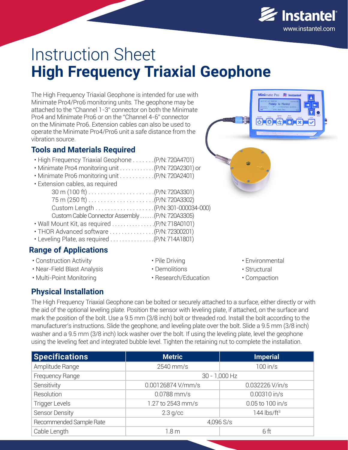

# Instruction Sheet **High Frequency Triaxial Geophone**

The High Frequency Triaxial Geophone is intended for use with Minimate Pro4/Pro6 monitoring units. The geophone may be attached to the "Channel 1-3" connector on both the Minimate Pro4 and Minimate Pro6 or on the "Channel 4-6" connector on the Minimate Pro6. Extension cables can also be used to operate the Minimate Pro4/Pro6 unit a safe distance from the vibration source.

## **Tools and Materials Required**

| . High Frequency Triaxial Geophone (P/N: 720A4701)<br>• Minimate Pro4 monitoring unit (P/N: 720A2301) or<br>. Minimate Pro6 monitoring unit (P/N: 720A2401) |  |
|-------------------------------------------------------------------------------------------------------------------------------------------------------------|--|
| • Extension cables, as required                                                                                                                             |  |
|                                                                                                                                                             |  |
|                                                                                                                                                             |  |
|                                                                                                                                                             |  |
| Custom Cable Connector Assembly  (P/N: 720A3305)                                                                                                            |  |
|                                                                                                                                                             |  |
| • Leveling Plate, as required $\ldots \ldots \ldots \ldots (P/N: 714A1801)$                                                                                 |  |
|                                                                                                                                                             |  |

## **Range of Applications**

- Construction Activity
- Near-Field Blast Analysis
- Multi-Point Monitoring
- Pile Driving • Demolitions
- Research/Education
- Environmental
- Structural
- Compaction

## **Physical Installation**

The High Frequency Triaxial Geophone can be bolted or securely attached to a surface, either directly or with the aid of the optional leveling plate. Position the sensor with leveling plate, if attached, on the surface and mark the position of the bolt. Use a 9.5 mm (3/8 inch) bolt or threaded rod. Install the bolt according to the manufacturer's instructions. Slide the geophone, and leveling plate over the bolt. Slide a 9.5 mm (3/8 inch) washer and a 9.5 mm (3/8 inch) lock washer over the bolt. If using the leveling plate, level the geophone using the leveling feet and integrated bubble level. Tighten the retaining nut to complete the installation.

| <b>Specifications</b>   | <b>Metric</b>     | <b>Imperial</b>   |
|-------------------------|-------------------|-------------------|
| Amplitude Range         | 2540 mm/s         | $100$ in/s        |
| Frequency Range         | $30 - 1,000$ Hz   |                   |
| Sensitivity             | 0.00126874 V/mm/s | 0.032226 V/in/s   |
| Resolution              | 0.0788 mm/s       | $0.00310$ in/s    |
| <b>Trigger Levels</b>   | 1.27 to 2543 mm/s | 0.05 to 100 in/s  |
| <b>Sensor Density</b>   | $2.3$ g/cc        | 144 $\frac{1}{5}$ |
| Recommended Sample Rate | 4,096 S/s         |                   |
| Cable Length            | 1.8 m             | 6 ft              |